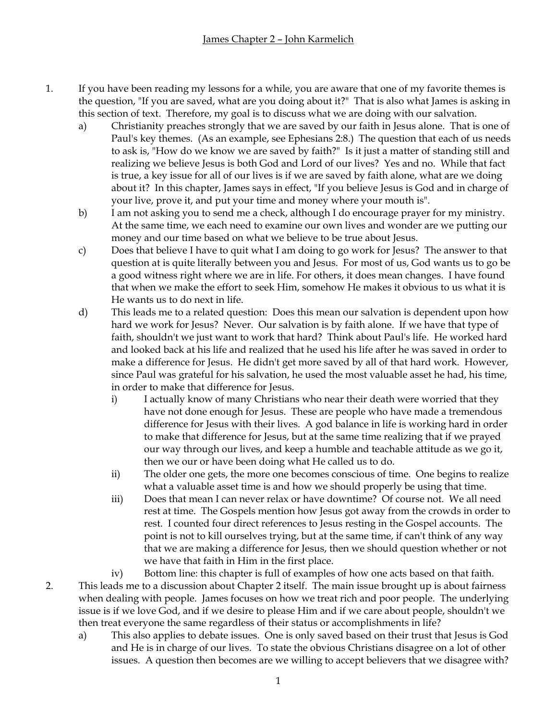- 1. If you have been reading my lessons for a while, you are aware that one of my favorite themes is the question, "If you are saved, what are you doing about it?" That is also what James is asking in this section of text. Therefore, my goal is to discuss what we are doing with our salvation.
	- a) Christianity preaches strongly that we are saved by our faith in Jesus alone. That is one of Paul's key themes. (As an example, see Ephesians 2:8.) The question that each of us needs to ask is, "How do we know we are saved by faith?" Is it just a matter of standing still and realizing we believe Jesus is both God and Lord of our lives? Yes and no. While that fact is true, a key issue for all of our lives is if we are saved by faith alone, what are we doing about it? In this chapter, James says in effect, "If you believe Jesus is God and in charge of your live, prove it, and put your time and money where your mouth is".
	- b) I am not asking you to send me a check, although I do encourage prayer for my ministry. At the same time, we each need to examine our own lives and wonder are we putting our money and our time based on what we believe to be true about Jesus.
	- c) Does that believe I have to quit what I am doing to go work for Jesus? The answer to that question at is quite literally between you and Jesus. For most of us, God wants us to go be a good witness right where we are in life. For others, it does mean changes. I have found that when we make the effort to seek Him, somehow He makes it obvious to us what it is He wants us to do next in life.
	- d) This leads me to a related question: Does this mean our salvation is dependent upon how hard we work for Jesus? Never. Our salvation is by faith alone. If we have that type of faith, shouldn't we just want to work that hard? Think about Paul's life. He worked hard and looked back at his life and realized that he used his life after he was saved in order to make a difference for Jesus. He didn't get more saved by all of that hard work. However, since Paul was grateful for his salvation, he used the most valuable asset he had, his time, in order to make that difference for Jesus.
		- i) I actually know of many Christians who near their death were worried that they have not done enough for Jesus. These are people who have made a tremendous difference for Jesus with their lives. A god balance in life is working hard in order to make that difference for Jesus, but at the same time realizing that if we prayed our way through our lives, and keep a humble and teachable attitude as we go it, then we our or have been doing what He called us to do.
		- ii) The older one gets, the more one becomes conscious of time. One begins to realize what a valuable asset time is and how we should properly be using that time.
		- iii) Does that mean I can never relax or have downtime? Of course not. We all need rest at time. The Gospels mention how Jesus got away from the crowds in order to rest. I counted four direct references to Jesus resting in the Gospel accounts. The point is not to kill ourselves trying, but at the same time, if can't think of any way that we are making a difference for Jesus, then we should question whether or not we have that faith in Him in the first place.
		- iv) Bottom line: this chapter is full of examples of how one acts based on that faith.
- 2. This leads me to a discussion about Chapter 2 itself. The main issue brought up is about fairness when dealing with people. James focuses on how we treat rich and poor people. The underlying issue is if we love God, and if we desire to please Him and if we care about people, shouldn't we then treat everyone the same regardless of their status or accomplishments in life?
	- a) This also applies to debate issues. One is only saved based on their trust that Jesus is God and He is in charge of our lives. To state the obvious Christians disagree on a lot of other issues. A question then becomes are we willing to accept believers that we disagree with?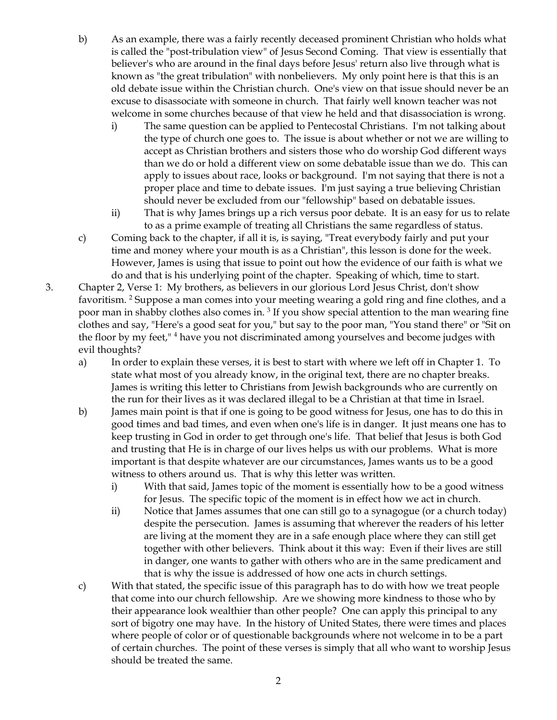- b) As an example, there was a fairly recently deceased prominent Christian who holds what is called the "post-tribulation view" of Jesus Second Coming. That view is essentially that believer's who are around in the final days before Jesus' return also live through what is known as "the great tribulation" with nonbelievers. My only point here is that this is an old debate issue within the Christian church. One's view on that issue should never be an excuse to disassociate with someone in church. That fairly well known teacher was not welcome in some churches because of that view he held and that disassociation is wrong.
	- i) The same question can be applied to Pentecostal Christians. I'm not talking about the type of church one goes to. The issue is about whether or not we are willing to accept as Christian brothers and sisters those who do worship God different ways than we do or hold a different view on some debatable issue than we do. This can apply to issues about race, looks or background. I'm not saying that there is not a proper place and time to debate issues. I'm just saying a true believing Christian should never be excluded from our "fellowship" based on debatable issues.
	- ii) That is why James brings up a rich versus poor debate. It is an easy for us to relate to as a prime example of treating all Christians the same regardless of status.
- c) Coming back to the chapter, if all it is, is saying, "Treat everybody fairly and put your time and money where your mouth is as a Christian", this lesson is done for the week. However, James is using that issue to point out how the evidence of our faith is what we do and that is his underlying point of the chapter. Speaking of which, time to start.
- 3. Chapter 2, Verse 1: My brothers, as believers in our glorious Lord Jesus Christ, don't show favoritism. <sup>2</sup> Suppose a man comes into your meeting wearing a gold ring and fine clothes, and a poor man in shabby clothes also comes in.<sup>3</sup> If you show special attention to the man wearing fine clothes and say, "Here's a good seat for you," but say to the poor man, "You stand there" or "Sit on the floor by my feet,"<sup>4</sup> have you not discriminated among yourselves and become judges with evil thoughts?
	- a) In order to explain these verses, it is best to start with where we left off in Chapter 1. To state what most of you already know, in the original text, there are no chapter breaks. James is writing this letter to Christians from Jewish backgrounds who are currently on the run for their lives as it was declared illegal to be a Christian at that time in Israel.
	- b) James main point is that if one is going to be good witness for Jesus, one has to do this in good times and bad times, and even when one's life is in danger. It just means one has to keep trusting in God in order to get through one's life. That belief that Jesus is both God and trusting that He is in charge of our lives helps us with our problems. What is more important is that despite whatever are our circumstances, James wants us to be a good witness to others around us. That is why this letter was written.
		- i) With that said, James topic of the moment is essentially how to be a good witness for Jesus. The specific topic of the moment is in effect how we act in church.
		- ii) Notice that James assumes that one can still go to a synagogue (or a church today) despite the persecution. James is assuming that wherever the readers of his letter are living at the moment they are in a safe enough place where they can still get together with other believers. Think about it this way: Even if their lives are still in danger, one wants to gather with others who are in the same predicament and that is why the issue is addressed of how one acts in church settings.
	- c) With that stated, the specific issue of this paragraph has to do with how we treat people that come into our church fellowship. Are we showing more kindness to those who by their appearance look wealthier than other people? One can apply this principal to any sort of bigotry one may have. In the history of United States, there were times and places where people of color or of questionable backgrounds where not welcome in to be a part of certain churches. The point of these verses is simply that all who want to worship Jesus should be treated the same.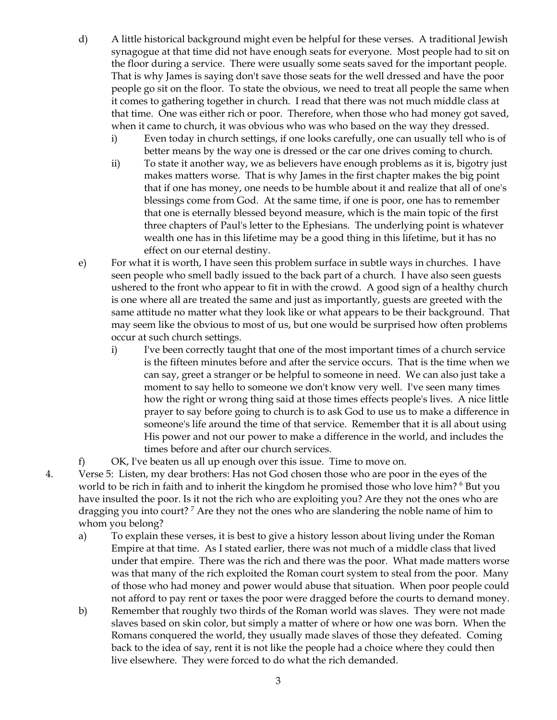- d) A little historical background might even be helpful for these verses. A traditional Jewish synagogue at that time did not have enough seats for everyone. Most people had to sit on the floor during a service. There were usually some seats saved for the important people. That is why James is saying don't save those seats for the well dressed and have the poor people go sit on the floor. To state the obvious, we need to treat all people the same when it comes to gathering together in church. I read that there was not much middle class at that time. One was either rich or poor. Therefore, when those who had money got saved, when it came to church, it was obvious who was who based on the way they dressed.
	- i) Even today in church settings, if one looks carefully, one can usually tell who is of better means by the way one is dressed or the car one drives coming to church.
	- ii) To state it another way, we as believers have enough problems as it is, bigotry just makes matters worse. That is why James in the first chapter makes the big point that if one has money, one needs to be humble about it and realize that all of one's blessings come from God. At the same time, if one is poor, one has to remember that one is eternally blessed beyond measure, which is the main topic of the first three chapters of Paul's letter to the Ephesians. The underlying point is whatever wealth one has in this lifetime may be a good thing in this lifetime, but it has no effect on our eternal destiny.
- e) For what it is worth, I have seen this problem surface in subtle ways in churches. I have seen people who smell badly issued to the back part of a church. I have also seen guests ushered to the front who appear to fit in with the crowd. A good sign of a healthy church is one where all are treated the same and just as importantly, guests are greeted with the same attitude no matter what they look like or what appears to be their background. That may seem like the obvious to most of us, but one would be surprised how often problems occur at such church settings.
	- i) I've been correctly taught that one of the most important times of a church service is the fifteen minutes before and after the service occurs. That is the time when we can say, greet a stranger or be helpful to someone in need. We can also just take a moment to say hello to someone we don't know very well. I've seen many times how the right or wrong thing said at those times effects people's lives. A nice little prayer to say before going to church is to ask God to use us to make a difference in someone's life around the time of that service. Remember that it is all about using His power and not our power to make a difference in the world, and includes the times before and after our church services.
- f) OK, I've beaten us all up enough over this issue. Time to move on.
- 4. Verse 5: Listen, my dear brothers: Has not God chosen those who are poor in the eyes of the world to be rich in faith and to inherit the kingdom he promised those who love him? <sup>6</sup> But you have insulted the poor. Is it not the rich who are exploiting you? Are they not the ones who are dragging you into court?<sup>7</sup> Are they not the ones who are slandering the noble name of him to whom you belong?
	- a) To explain these verses, it is best to give a history lesson about living under the Roman Empire at that time. As I stated earlier, there was not much of a middle class that lived under that empire. There was the rich and there was the poor. What made matters worse was that many of the rich exploited the Roman court system to steal from the poor. Many of those who had money and power would abuse that situation. When poor people could not afford to pay rent or taxes the poor were dragged before the courts to demand money.
	- b) Remember that roughly two thirds of the Roman world was slaves. They were not made slaves based on skin color, but simply a matter of where or how one was born. When the Romans conquered the world, they usually made slaves of those they defeated. Coming back to the idea of say, rent it is not like the people had a choice where they could then live elsewhere. They were forced to do what the rich demanded.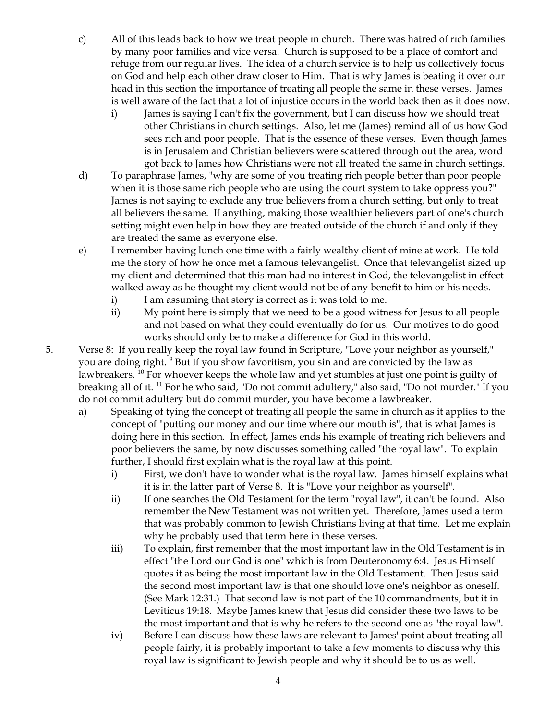- c) All of this leads back to how we treat people in church. There was hatred of rich families by many poor families and vice versa. Church is supposed to be a place of comfort and refuge from our regular lives. The idea of a church service is to help us collectively focus on God and help each other draw closer to Him. That is why James is beating it over our head in this section the importance of treating all people the same in these verses. James is well aware of the fact that a lot of injustice occurs in the world back then as it does now.
	- i) James is saying I can't fix the government, but I can discuss how we should treat other Christians in church settings. Also, let me (James) remind all of us how God sees rich and poor people. That is the essence of these verses. Even though James is in Jerusalem and Christian believers were scattered through out the area, word got back to James how Christians were not all treated the same in church settings.
- d) To paraphrase James, "why are some of you treating rich people better than poor people when it is those same rich people who are using the court system to take oppress you?" James is not saying to exclude any true believers from a church setting, but only to treat all believers the same. If anything, making those wealthier believers part of one's church setting might even help in how they are treated outside of the church if and only if they are treated the same as everyone else.
- e) I remember having lunch one time with a fairly wealthy client of mine at work. He told me the story of how he once met a famous televangelist. Once that televangelist sized up my client and determined that this man had no interest in God, the televangelist in effect walked away as he thought my client would not be of any benefit to him or his needs.
	- i) I am assuming that story is correct as it was told to me.
	- ii) My point here is simply that we need to be a good witness for Jesus to all people and not based on what they could eventually do for us. Our motives to do good works should only be to make a difference for God in this world.
- 5. Verse 8: If you really keep the royal law found in Scripture, "Love your neighbor as yourself," you are doing right. <sup>9</sup> But if you show favoritism, you sin and are convicted by the law as lawbreakers. <sup>10</sup> For whoever keeps the whole law and yet stumbles at just one point is guilty of breaking all of it. <sup>11</sup> For he who said, "Do not commit adultery," also said, "Do not murder." If you do not commit adultery but do commit murder, you have become a lawbreaker.
	- a) Speaking of tying the concept of treating all people the same in church as it applies to the concept of "putting our money and our time where our mouth is", that is what James is doing here in this section. In effect, James ends his example of treating rich believers and poor believers the same, by now discusses something called "the royal law". To explain further, I should first explain what is the royal law at this point.
		- i) First, we don't have to wonder what is the royal law. James himself explains what it is in the latter part of Verse 8. It is "Love your neighbor as yourself".
		- ii) If one searches the Old Testament for the term "royal law", it can't be found. Also remember the New Testament was not written yet. Therefore, James used a term that was probably common to Jewish Christians living at that time. Let me explain why he probably used that term here in these verses.
		- iii) To explain, first remember that the most important law in the Old Testament is in effect "the Lord our God is one" which is from Deuteronomy 6:4. Jesus Himself quotes it as being the most important law in the Old Testament. Then Jesus said the second most important law is that one should love one's neighbor as oneself. (See Mark 12:31.) That second law is not part of the 10 commandments, but it in Leviticus 19:18. Maybe James knew that Jesus did consider these two laws to be the most important and that is why he refers to the second one as "the royal law".
		- iv) Before I can discuss how these laws are relevant to James' point about treating all people fairly, it is probably important to take a few moments to discuss why this royal law is significant to Jewish people and why it should be to us as well.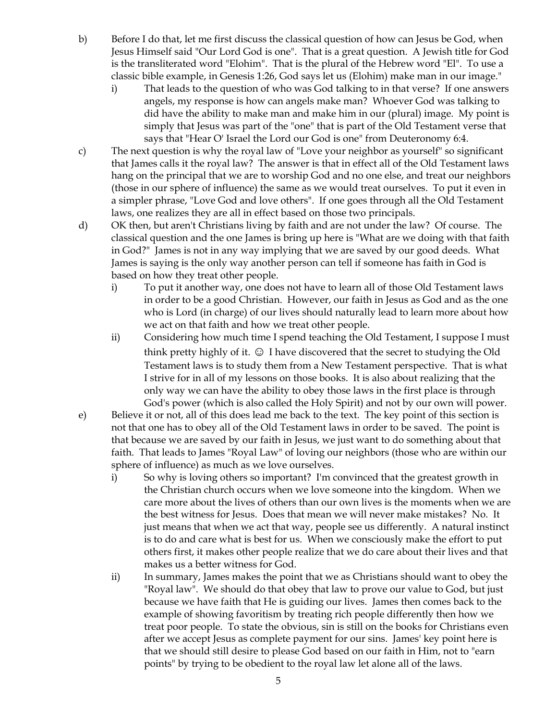- b) Before I do that, let me first discuss the classical question of how can Jesus be God, when Jesus Himself said "Our Lord God is one". That is a great question. A Jewish title for God is the transliterated word "Elohim". That is the plural of the Hebrew word "El". To use a classic bible example, in Genesis 1:26, God says let us (Elohim) make man in our image."
	- i) That leads to the question of who was God talking to in that verse? If one answers angels, my response is how can angels make man? Whoever God was talking to did have the ability to make man and make him in our (plural) image. My point is simply that Jesus was part of the "one" that is part of the Old Testament verse that says that "Hear O' Israel the Lord our God is one" from Deuteronomy 6:4.
- c) The next question is why the royal law of "Love your neighbor as yourself" so significant that James calls it the royal law? The answer is that in effect all of the Old Testament laws hang on the principal that we are to worship God and no one else, and treat our neighbors (those in our sphere of influence) the same as we would treat ourselves. To put it even in a simpler phrase, "Love God and love others". If one goes through all the Old Testament laws, one realizes they are all in effect based on those two principals.
- d) OK then, but aren't Christians living by faith and are not under the law? Of course. The classical question and the one James is bring up here is "What are we doing with that faith in God?" James is not in any way implying that we are saved by our good deeds. What James is saying is the only way another person can tell if someone has faith in God is based on how they treat other people.
	- i) To put it another way, one does not have to learn all of those Old Testament laws in order to be a good Christian. However, our faith in Jesus as God and as the one who is Lord (in charge) of our lives should naturally lead to learn more about how we act on that faith and how we treat other people.
	- ii) Considering how much time I spend teaching the Old Testament, I suppose I must think pretty highly of it. ☺ I have discovered that the secret to studying the Old Testament laws is to study them from a New Testament perspective. That is what I strive for in all of my lessons on those books. It is also about realizing that the only way we can have the ability to obey those laws in the first place is through God's power (which is also called the Holy Spirit) and not by our own will power.
- e) Believe it or not, all of this does lead me back to the text. The key point of this section is not that one has to obey all of the Old Testament laws in order to be saved. The point is that because we are saved by our faith in Jesus, we just want to do something about that faith. That leads to James "Royal Law" of loving our neighbors (those who are within our sphere of influence) as much as we love ourselves.
	- i) So why is loving others so important? I'm convinced that the greatest growth in the Christian church occurs when we love someone into the kingdom. When we care more about the lives of others than our own lives is the moments when we are the best witness for Jesus. Does that mean we will never make mistakes? No. It just means that when we act that way, people see us differently. A natural instinct is to do and care what is best for us. When we consciously make the effort to put others first, it makes other people realize that we do care about their lives and that makes us a better witness for God.
	- ii) In summary, James makes the point that we as Christians should want to obey the "Royal law". We should do that obey that law to prove our value to God, but just because we have faith that He is guiding our lives. James then comes back to the example of showing favoritism by treating rich people differently then how we treat poor people. To state the obvious, sin is still on the books for Christians even after we accept Jesus as complete payment for our sins. James' key point here is that we should still desire to please God based on our faith in Him, not to "earn points" by trying to be obedient to the royal law let alone all of the laws.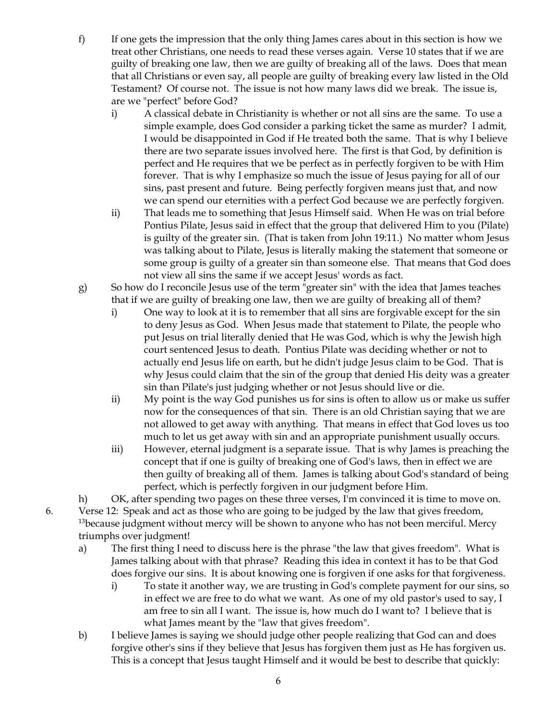- f) If one gets the impression that the only thing James cares about in this section is how we treat other Christians, one needs to read these verses again. Verse 10 states that if we are guilty of breaking one law, then we are guilty of breaking all of the laws. Does that mean that all Christians or even say, all people are guilty of breaking every law listed in the Old Testament? Of course not. The issue is not how many laws did we break. The issue is, are we "perfect" before God?
	- i) A classical debate in Christianity is whether or not all sins are the same. To use a simple example, does God consider a parking ticket the same as murder? I admit, I would be disappointed in God if He treated both the same. That is why I believe there are two separate issues involved here. The first is that God, by definition is perfect and He requires that we be perfect as in perfectly forgiven to be with Him forever. That is why I emphasize so much the issue of Jesus paying for all of our sins, past present and future. Being perfectly forgiven means just that, and now we can spend our eternities with a perfect God because we are perfectly forgiven.
	- ii) That leads me to something that Jesus Himself said. When He was on trial before Pontius Pilate, Jesus said in effect that the group that delivered Him to you (Pilate) is guilty of the greater sin. (That is taken from John 19:11.) No matter whom Jesus was talking about to Pilate, Jesus is literally making the statement that someone or some group is guilty of a greater sin than someone else. That means that God does not view all sins the same if we accept Jesus' words as fact.
- g) So how do I reconcile Jesus use of the term "greater sin" with the idea that James teaches that if we are guilty of breaking one law, then we are guilty of breaking all of them?
	- i) One way to look at it is to remember that all sins are forgivable except for the sin to deny Jesus as God. When Jesus made that statement to Pilate, the people who put Jesus on trial literally denied that He was God, which is why the Jewish high court sentenced Jesus to death. Pontius Pilate was deciding whether or not to actually end Jesus life on earth, but he didn't judge Jesus claim to be God. That is why Jesus could claim that the sin of the group that denied His deity was a greater sin than Pilate's just judging whether or not Jesus should live or die.
	- ii) My point is the way God punishes us for sins is often to allow us or make us suffer now for the consequences of that sin. There is an old Christian saying that we are not allowed to get away with anything. That means in effect that God loves us too much to let us get away with sin and an appropriate punishment usually occurs.
	- iii) However, eternal judgment is a separate issue. That is why James is preaching the concept that if one is guilty of breaking one of God's laws, then in effect we are then guilty of breaking all of them. James is talking about God's standard of being perfect, which is perfectly forgiven in our judgment before Him.

h) OK, after spending two pages on these three verses, I'm convinced it is time to move on.

- 6. Verse 12: Speak and act as those who are going to be judged by the law that gives freedom,  $13$ because judgment without mercy will be shown to anyone who has not been merciful. Mercy triumphs over judgment!
	- a) The first thing I need to discuss here is the phrase "the law that gives freedom". What is James talking about with that phrase? Reading this idea in context it has to be that God does forgive our sins. It is about knowing one is forgiven if one asks for that forgiveness.
		- i) To state it another way, we are trusting in God's complete payment for our sins, so in effect we are free to do what we want. As one of my old pastor's used to say, I am free to sin all I want. The issue is, how much do I want to? I believe that is what James meant by the "law that gives freedom".
	- b) I believe James is saying we should judge other people realizing that God can and does forgive other's sins if they believe that Jesus has forgiven them just as He has forgiven us. This is a concept that Jesus taught Himself and it would be best to describe that quickly: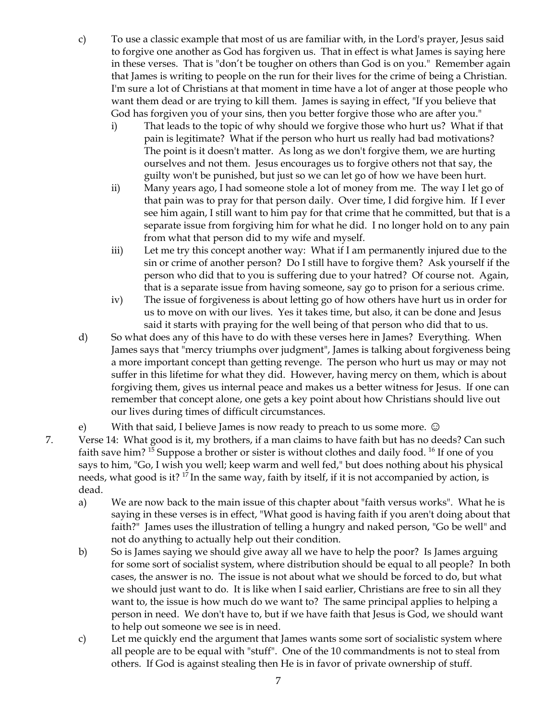- c) To use a classic example that most of us are familiar with, in the Lord's prayer, Jesus said to forgive one another as God has forgiven us. That in effect is what James is saying here in these verses. That is "don't be tougher on others than God is on you." Remember again that James is writing to people on the run for their lives for the crime of being a Christian. I'm sure a lot of Christians at that moment in time have a lot of anger at those people who want them dead or are trying to kill them. James is saying in effect, "If you believe that God has forgiven you of your sins, then you better forgive those who are after you."
	- i) That leads to the topic of why should we forgive those who hurt us? What if that pain is legitimate? What if the person who hurt us really had bad motivations? The point is it doesn't matter. As long as we don't forgive them, we are hurting ourselves and not them. Jesus encourages us to forgive others not that say, the guilty won't be punished, but just so we can let go of how we have been hurt.
	- ii) Many years ago, I had someone stole a lot of money from me. The way I let go of that pain was to pray for that person daily. Over time, I did forgive him. If I ever see him again, I still want to him pay for that crime that he committed, but that is a separate issue from forgiving him for what he did. I no longer hold on to any pain from what that person did to my wife and myself.
	- iii) Let me try this concept another way: What if I am permanently injured due to the sin or crime of another person? Do I still have to forgive them? Ask yourself if the person who did that to you is suffering due to your hatred? Of course not. Again, that is a separate issue from having someone, say go to prison for a serious crime.
	- iv) The issue of forgiveness is about letting go of how others have hurt us in order for us to move on with our lives. Yes it takes time, but also, it can be done and Jesus said it starts with praying for the well being of that person who did that to us.
- d) So what does any of this have to do with these verses here in James? Everything. When James says that "mercy triumphs over judgment", James is talking about forgiveness being a more important concept than getting revenge. The person who hurt us may or may not suffer in this lifetime for what they did. However, having mercy on them, which is about forgiving them, gives us internal peace and makes us a better witness for Jesus. If one can remember that concept alone, one gets a key point about how Christians should live out our lives during times of difficult circumstances.
- e) With that said, I believe James is now ready to preach to us some more.  $\odot$
- 7. Verse 14: What good is it, my brothers, if a man claims to have faith but has no deeds? Can such faith save him? <sup>15</sup> Suppose a brother or sister is without clothes and daily food. <sup>16</sup> If one of you says to him, "Go, I wish you well; keep warm and well fed," but does nothing about his physical needs, what good is it?  $17$  In the same way, faith by itself, if it is not accompanied by action, is dead.
	- a) We are now back to the main issue of this chapter about "faith versus works". What he is saying in these verses is in effect, "What good is having faith if you aren't doing about that faith?" James uses the illustration of telling a hungry and naked person, "Go be well" and not do anything to actually help out their condition.
	- b) So is James saying we should give away all we have to help the poor? Is James arguing for some sort of socialist system, where distribution should be equal to all people? In both cases, the answer is no. The issue is not about what we should be forced to do, but what we should just want to do. It is like when I said earlier, Christians are free to sin all they want to, the issue is how much do we want to? The same principal applies to helping a person in need. We don't have to, but if we have faith that Jesus is God, we should want to help out someone we see is in need.
	- c) Let me quickly end the argument that James wants some sort of socialistic system where all people are to be equal with "stuff". One of the 10 commandments is not to steal from others. If God is against stealing then He is in favor of private ownership of stuff.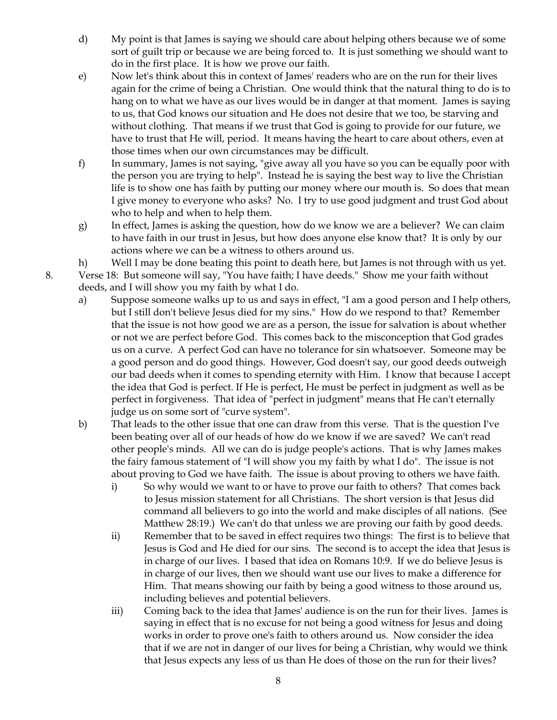- d) My point is that James is saying we should care about helping others because we of some sort of guilt trip or because we are being forced to. It is just something we should want to do in the first place. It is how we prove our faith.
- e) Now let's think about this in context of James' readers who are on the run for their lives again for the crime of being a Christian. One would think that the natural thing to do is to hang on to what we have as our lives would be in danger at that moment. James is saying to us, that God knows our situation and He does not desire that we too, be starving and without clothing. That means if we trust that God is going to provide for our future, we have to trust that He will, period. It means having the heart to care about others, even at those times when our own circumstances may be difficult.
- f) In summary, James is not saying, "give away all you have so you can be equally poor with the person you are trying to help". Instead he is saying the best way to live the Christian life is to show one has faith by putting our money where our mouth is. So does that mean I give money to everyone who asks? No. I try to use good judgment and trust God about who to help and when to help them.
- g) In effect, James is asking the question, how do we know we are a believer? We can claim to have faith in our trust in Jesus, but how does anyone else know that? It is only by our actions where we can be a witness to others around us.
- h) Well I may be done beating this point to death here, but James is not through with us yet.
- 8. Verse 18: But someone will say, "You have faith; I have deeds." Show me your faith without deeds, and I will show you my faith by what I do.
	- a) Suppose someone walks up to us and says in effect, "I am a good person and I help others, but I still don't believe Jesus died for my sins." How do we respond to that? Remember that the issue is not how good we are as a person, the issue for salvation is about whether or not we are perfect before God. This comes back to the misconception that God grades us on a curve. A perfect God can have no tolerance for sin whatsoever. Someone may be a good person and do good things. However, God doesn't say, our good deeds outweigh our bad deeds when it comes to spending eternity with Him. I know that because I accept the idea that God is perfect. If He is perfect, He must be perfect in judgment as well as be perfect in forgiveness. That idea of "perfect in judgment" means that He can't eternally judge us on some sort of "curve system".
	- b) That leads to the other issue that one can draw from this verse. That is the question I've been beating over all of our heads of how do we know if we are saved? We can't read other people's minds. All we can do is judge people's actions. That is why James makes the fairy famous statement of "I will show you my faith by what I do". The issue is not about proving to God we have faith. The issue is about proving to others we have faith.
		- i) So why would we want to or have to prove our faith to others? That comes back to Jesus mission statement for all Christians. The short version is that Jesus did command all believers to go into the world and make disciples of all nations. (See Matthew 28:19.) We can't do that unless we are proving our faith by good deeds.
		- ii) Remember that to be saved in effect requires two things: The first is to believe that Jesus is God and He died for our sins. The second is to accept the idea that Jesus is in charge of our lives. I based that idea on Romans 10:9. If we do believe Jesus is in charge of our lives, then we should want use our lives to make a difference for Him. That means showing our faith by being a good witness to those around us, including believes and potential believers.
		- iii) Coming back to the idea that James' audience is on the run for their lives. James is saying in effect that is no excuse for not being a good witness for Jesus and doing works in order to prove one's faith to others around us. Now consider the idea that if we are not in danger of our lives for being a Christian, why would we think that Jesus expects any less of us than He does of those on the run for their lives?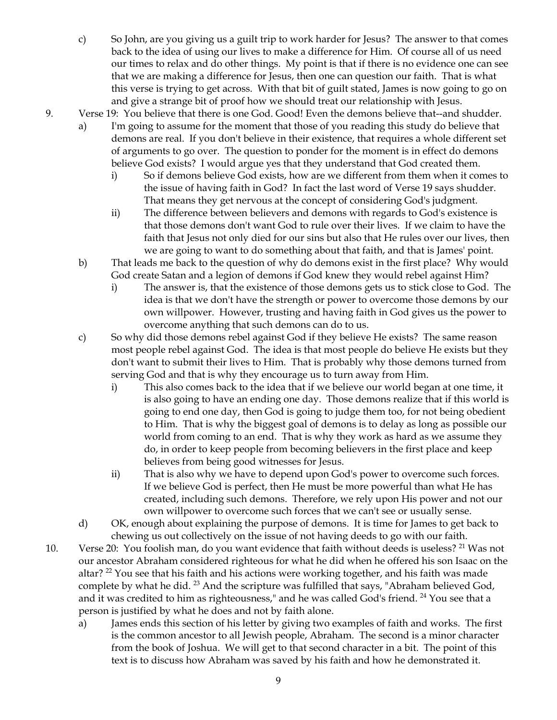- c) So John, are you giving us a guilt trip to work harder for Jesus? The answer to that comes back to the idea of using our lives to make a difference for Him. Of course all of us need our times to relax and do other things. My point is that if there is no evidence one can see that we are making a difference for Jesus, then one can question our faith. That is what this verse is trying to get across. With that bit of guilt stated, James is now going to go on and give a strange bit of proof how we should treat our relationship with Jesus.
- 9. Verse 19: You believe that there is one God. Good! Even the demons believe that--and shudder.
	- a) I'm going to assume for the moment that those of you reading this study do believe that demons are real. If you don't believe in their existence, that requires a whole different set of arguments to go over. The question to ponder for the moment is in effect do demons believe God exists? I would argue yes that they understand that God created them.
		- i) So if demons believe God exists, how are we different from them when it comes to the issue of having faith in God? In fact the last word of Verse 19 says shudder. That means they get nervous at the concept of considering God's judgment.
		- ii) The difference between believers and demons with regards to God's existence is that those demons don't want God to rule over their lives. If we claim to have the faith that Jesus not only died for our sins but also that He rules over our lives, then we are going to want to do something about that faith, and that is James' point.
	- b) That leads me back to the question of why do demons exist in the first place? Why would God create Satan and a legion of demons if God knew they would rebel against Him?
		- i) The answer is, that the existence of those demons gets us to stick close to God. The idea is that we don't have the strength or power to overcome those demons by our own willpower. However, trusting and having faith in God gives us the power to overcome anything that such demons can do to us.
	- c) So why did those demons rebel against God if they believe He exists? The same reason most people rebel against God. The idea is that most people do believe He exists but they don't want to submit their lives to Him. That is probably why those demons turned from serving God and that is why they encourage us to turn away from Him.
		- i) This also comes back to the idea that if we believe our world began at one time, it is also going to have an ending one day. Those demons realize that if this world is going to end one day, then God is going to judge them too, for not being obedient to Him. That is why the biggest goal of demons is to delay as long as possible our world from coming to an end. That is why they work as hard as we assume they do, in order to keep people from becoming believers in the first place and keep believes from being good witnesses for Jesus.
		- ii) That is also why we have to depend upon God's power to overcome such forces. If we believe God is perfect, then He must be more powerful than what He has created, including such demons. Therefore, we rely upon His power and not our own willpower to overcome such forces that we can't see or usually sense.
	- d) OK, enough about explaining the purpose of demons. It is time for James to get back to chewing us out collectively on the issue of not having deeds to go with our faith.
- 10. Verse 20: You foolish man, do you want evidence that faith without deeds is useless? <sup>21</sup> Was not our ancestor Abraham considered righteous for what he did when he offered his son Isaac on the altar? <sup>22</sup> You see that his faith and his actions were working together, and his faith was made complete by what he did. <sup>23</sup> And the scripture was fulfilled that says, "Abraham believed God, and it was credited to him as righteousness," and he was called God's friend. <sup>24</sup> You see that a person is justified by what he does and not by faith alone.
	- a) James ends this section of his letter by giving two examples of faith and works. The first is the common ancestor to all Jewish people, Abraham. The second is a minor character from the book of Joshua. We will get to that second character in a bit. The point of this text is to discuss how Abraham was saved by his faith and how he demonstrated it.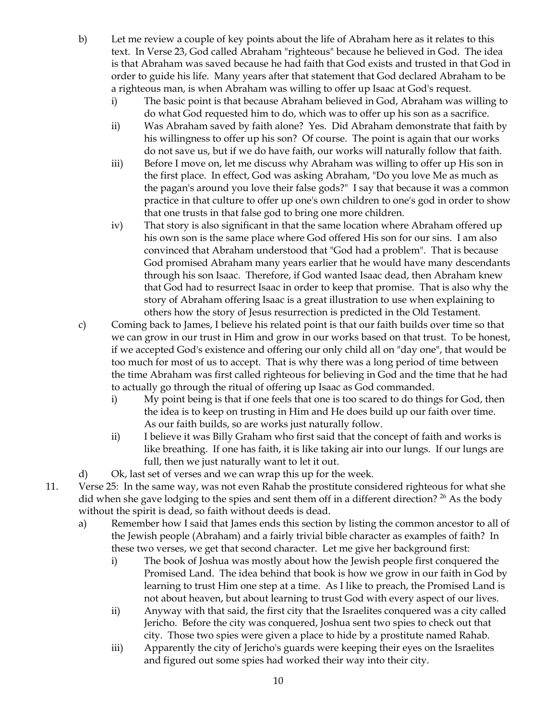- b) Let me review a couple of key points about the life of Abraham here as it relates to this text. In Verse 23, God called Abraham "righteous" because he believed in God. The idea is that Abraham was saved because he had faith that God exists and trusted in that God in order to guide his life. Many years after that statement that God declared Abraham to be a righteous man, is when Abraham was willing to offer up Isaac at God's request.
	- i) The basic point is that because Abraham believed in God, Abraham was willing to do what God requested him to do, which was to offer up his son as a sacrifice.
	- ii) Was Abraham saved by faith alone? Yes. Did Abraham demonstrate that faith by his willingness to offer up his son? Of course. The point is again that our works do not save us, but if we do have faith, our works will naturally follow that faith.
	- iii) Before I move on, let me discuss why Abraham was willing to offer up His son in the first place. In effect, God was asking Abraham, "Do you love Me as much as the pagan's around you love their false gods?" I say that because it was a common practice in that culture to offer up one's own children to one's god in order to show that one trusts in that false god to bring one more children.
	- iv) That story is also significant in that the same location where Abraham offered up his own son is the same place where God offered His son for our sins. I am also convinced that Abraham understood that "God had a problem". That is because God promised Abraham many years earlier that he would have many descendants through his son Isaac. Therefore, if God wanted Isaac dead, then Abraham knew that God had to resurrect Isaac in order to keep that promise. That is also why the story of Abraham offering Isaac is a great illustration to use when explaining to others how the story of Jesus resurrection is predicted in the Old Testament.
- c) Coming back to James, I believe his related point is that our faith builds over time so that we can grow in our trust in Him and grow in our works based on that trust. To be honest, if we accepted God's existence and offering our only child all on "day one", that would be too much for most of us to accept. That is why there was a long period of time between the time Abraham was first called righteous for believing in God and the time that he had to actually go through the ritual of offering up Isaac as God commanded.
	- i) My point being is that if one feels that one is too scared to do things for God, then the idea is to keep on trusting in Him and He does build up our faith over time. As our faith builds, so are works just naturally follow.
	- ii) I believe it was Billy Graham who first said that the concept of faith and works is like breathing. If one has faith, it is like taking air into our lungs. If our lungs are full, then we just naturally want to let it out.
- d) Ok, last set of verses and we can wrap this up for the week.
- 11. Verse 25: In the same way, was not even Rahab the prostitute considered righteous for what she did when she gave lodging to the spies and sent them off in a different direction?  $26$  As the body without the spirit is dead, so faith without deeds is dead.
	- a) Remember how I said that James ends this section by listing the common ancestor to all of the Jewish people (Abraham) and a fairly trivial bible character as examples of faith? In these two verses, we get that second character. Let me give her background first:
		- i) The book of Joshua was mostly about how the Jewish people first conquered the Promised Land. The idea behind that book is how we grow in our faith in God by learning to trust Him one step at a time. As I like to preach, the Promised Land is not about heaven, but about learning to trust God with every aspect of our lives.
		- ii) Anyway with that said, the first city that the Israelites conquered was a city called Jericho. Before the city was conquered, Joshua sent two spies to check out that city. Those two spies were given a place to hide by a prostitute named Rahab.
		- iii) Apparently the city of Jericho's guards were keeping their eyes on the Israelites and figured out some spies had worked their way into their city.